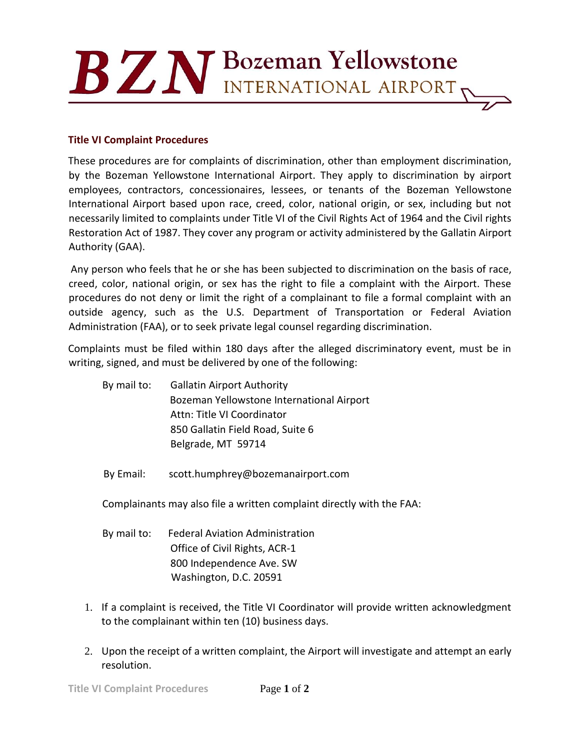## BZN Bozeman Yellowstone

## **Title VI Complaint Procedures**

These procedures are for complaints of discrimination, other than employment discrimination, by the Bozeman Yellowstone International Airport. They apply to discrimination by airport employees, contractors, concessionaires, lessees, or tenants of the Bozeman Yellowstone International Airport based upon race, creed, color, national origin, or sex, including but not necessarily limited to complaints under Title VI of the Civil Rights Act of 1964 and the Civil rights Restoration Act of 1987. They cover any program or activity administered by the Gallatin Airport Authority (GAA).

Any person who feels that he or she has been subjected to discrimination on the basis of race, creed, color, national origin, or sex has the right to file a complaint with the Airport. These procedures do not deny or limit the right of a complainant to file a formal complaint with an outside agency, such as the U.S. Department of Transportation or Federal Aviation Administration (FAA), or to seek private legal counsel regarding discrimination.

Complaints must be filed within 180 days after the alleged discriminatory event, must be in writing, signed, and must be delivered by one of the following:

By mail to: Gallatin Airport Authority Bozeman Yellowstone International Airport Attn: Title VI Coordinator 850 Gallatin Field Road, Suite 6 Belgrade, MT 59714

By Email: scott.humphrey@bozemanairport.com

Complainants may also file a written complaint directly with the FAA:

- By mail to: Federal Aviation Administration Office of Civil Rights, ACR-1 800 Independence Ave. SW Washington, D.C. 20591
- 1. If a complaint is received, the Title VI Coordinator will provide written acknowledgment to the complainant within ten (10) business days.
- 2. Upon the receipt of a written complaint, the Airport will investigate and attempt an early resolution.